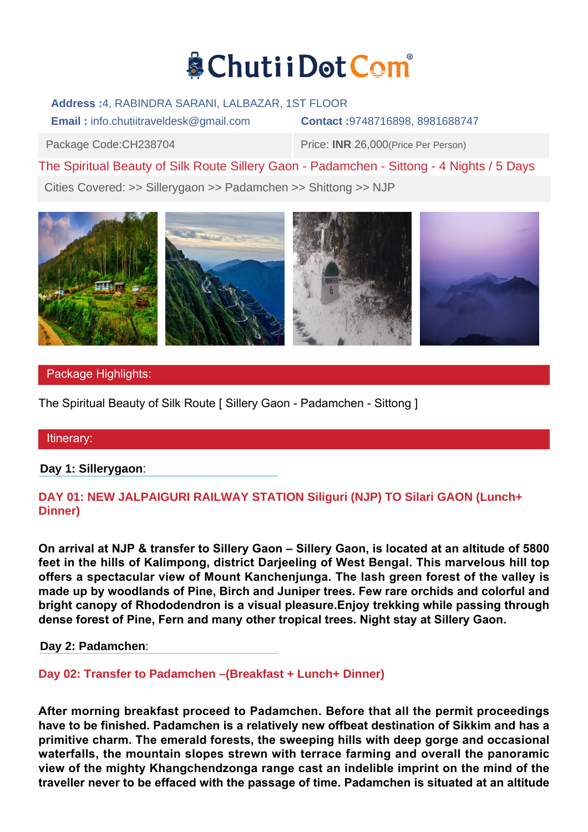# & Chutii Dot Com

## **Address :**4, RABINDRA SARANI, LALBAZAR, 1ST FLOOR

**Email :** info.chutiitraveldesk@gmail.com **Contact :**9748716898, 8981688747

Package Code:CH238704 Price: **INR** 26,000(Price Per Person)

The Spiritual Beauty of Silk Route Sillery Gaon - Padamchen - Sittong - 4 Nights / 5 Days

Cities Covered: >> Sillerygaon >> Padamchen >> Shittong >> NJP



# Package Highlights:

The Spiritual Beauty of Silk Route [ Sillery Gaon - Padamchen - Sittong ]

## Itinerary:

**Day 1: Sillerygaon**:

# **DAY 01: NEW JALPAIGURI RAILWAY STATION Siliguri (NJP) TO Silari GAON (Lunch+ Dinner)**

**On arrival at NJP & transfer to Sillery Gaon – Sillery Gaon, is located at an altitude of 5800 feet in the hills of Kalimpong, district Darjeeling of West Bengal. This marvelous hill top offers a spectacular view of Mount Kanchenjunga. The lash green forest of the valley is made up by woodlands of Pine, Birch and Juniper trees. Few rare orchids and colorful and bright canopy of Rhododendron is a visual pleasure.Enjoy trekking while passing through dense forest of Pine, Fern and many other tropical trees. Night stay at Sillery Gaon.**

**Day 2: Padamchen**:

**Day 02: Transfer to Padamchen –(Breakfast + Lunch+ Dinner)**

**After morning breakfast proceed to Padamchen. Before that all the permit proceedings have to be finished. Padamchen is a relatively new offbeat destination of Sikkim and has a primitive charm. The emerald forests, the sweeping hills with deep gorge and occasional waterfalls, the mountain slopes strewn with terrace farming and overall the panoramic view of the mighty Khangchendzonga range cast an indelible imprint on the mind of the traveller never to be effaced with the passage of time. Padamchen is situated at an altitude**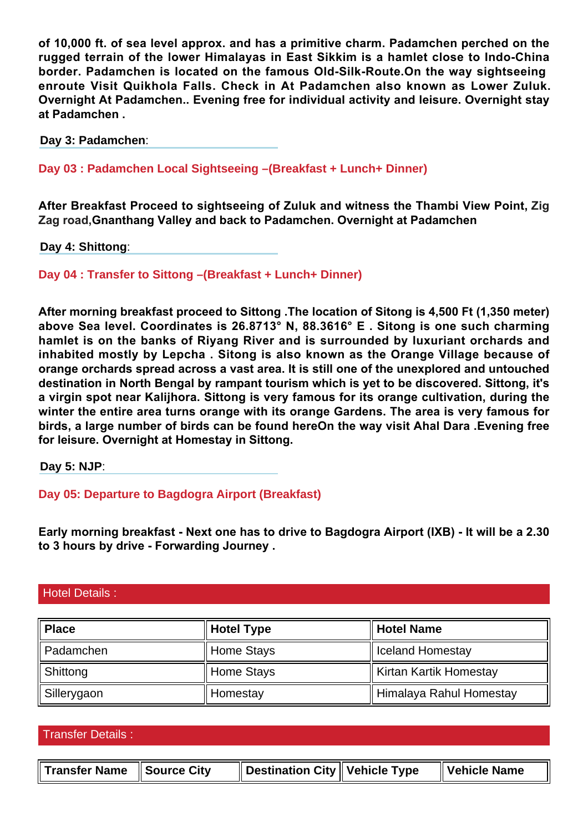**of 10,000 ft. of sea level approx. and has a primitive charm. Padamchen perched on the rugged terrain of the lower Himalayas in East Sikkim is a hamlet close to Indo-China border. Padamchen is located on the famous Old-Silk-Route.On the way sightseeing enroute Visit Quikhola Falls. Check in At Padamchen also known as Lower Zuluk. Overnight At Padamchen.. Evening free for individual activity and leisure. Overnight stay at Padamchen .**

**Day 3: Padamchen**:

**Day 03 : Padamchen Local Sightseeing –(Breakfast + Lunch+ Dinner)**

**After Breakfast Proceed to sightseeing of Zuluk and witness the Thambi View Point, Zig Zag road,Gnanthang Valley and back to Padamchen. Overnight at Padamchen**

**Day 4: Shittong**:

**Day 04 : Transfer to Sittong –(Breakfast + Lunch+ Dinner)**

**After morning breakfast proceed to Sittong .The location of Sitong is 4,500 Ft (1,350 meter) above Sea level. Coordinates is 26.8713° N, 88.3616° E . Sitong is one such charming hamlet is on the banks of Riyang River and is surrounded by luxuriant orchards and inhabited mostly by Lepcha . Sitong is also known as the Orange Village because of orange orchards spread across a vast area. It is still one of the unexplored and untouched destination in North Bengal by rampant tourism which is yet to be discovered. Sittong, it's a virgin spot near Kalijhora. Sittong is very famous for its orange cultivation, during the winter the entire area turns orange with its orange Gardens. The area is very famous for birds, a large number of birds can be found hereOn the way visit Ahal Dara .Evening free for leisure. Overnight at Homestay in Sittong.**

**Day 5: NJP**:

**Day 05: Departure to Bagdogra Airport (Breakfast)**

**Early morning breakfast - Next one has to drive to Bagdogra Airport (IXB) - It will be a 2.30 to 3 hours by drive - Forwarding Journey .**

## Hotel Details :

| Place                | <b>Hotel Type</b><br>Hotel Name |                         |  |
|----------------------|---------------------------------|-------------------------|--|
| Padamchen            | <b>Home Stays</b>               | I Iceland Homestay      |  |
| $\parallel$ Shittong | <b>Home Stays</b>               | Kirtan Kartik Homestay  |  |
| Sillerygaon          | Homestay                        | Himalaya Rahul Homestay |  |

Transfer Details :

| Transfer Name Source City |  | $\parallel$ Destination City $\parallel$ Vehicle Type |  | $\parallel$ Vehicle Name |
|---------------------------|--|-------------------------------------------------------|--|--------------------------|
|---------------------------|--|-------------------------------------------------------|--|--------------------------|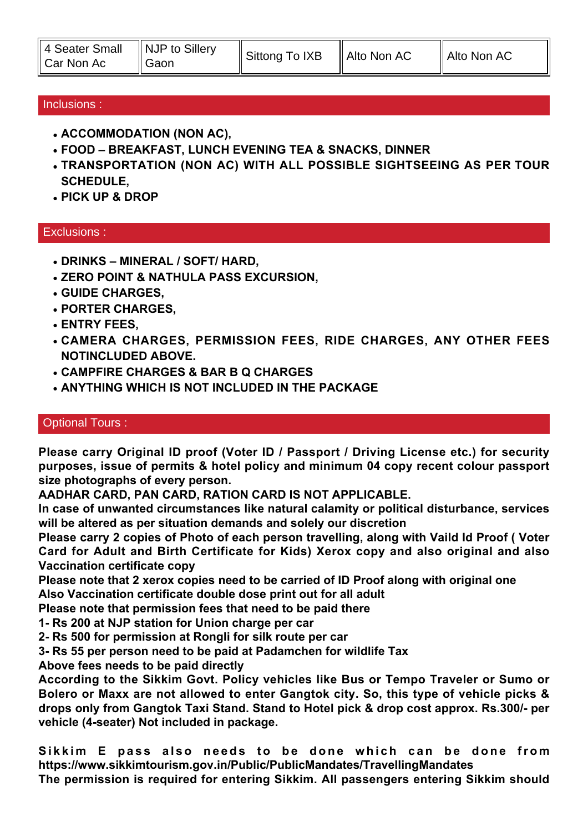| 4 Seater Small<br>Car Non Ac<br>∥ Gaon | $\parallel$ NJP to Sillery | Sittong To IXB | $\parallel$ Alto Non AC | $\parallel$ Alto Non AC |
|----------------------------------------|----------------------------|----------------|-------------------------|-------------------------|
|----------------------------------------|----------------------------|----------------|-------------------------|-------------------------|

## Inclusions :

- **ACCOMMODATION (NON AC),**
- **FOOD BREAKFAST, LUNCH EVENING TEA & SNACKS, DINNER**
- **TRANSPORTATION (NON AC) WITH ALL POSSIBLE SIGHTSEEING AS PER TOUR SCHEDULE,**
- **PICK UP & DROP**

## Exclusions :

- **DRINKS MINERAL / SOFT/ HARD,**
- **ZERO POINT & NATHULA PASS EXCURSION.**
- **GUIDE CHARGES,**
- **PORTER CHARGES,**
- **ENTRY FEES,**
- **CAMERA CHARGES, PERMISSION FEES, RIDE CHARGES, ANY OTHER FEES NOTINCLUDED ABOVE.**
- **CAMPFIRE CHARGES & BAR B Q CHARGES**
- **ANYTHING WHICH IS NOT INCLUDED IN THE PACKAGE**

## Optional Tours :

**Please carry Original ID proof (Voter ID / Passport / Driving License etc.) for security purposes, issue of permits & hotel policy and minimum 04 copy recent colour passport size photographs of every person.**

**AADHAR CARD, PAN CARD, RATION CARD IS NOT APPLICABLE.**

**In case of unwanted circumstances like natural calamity or political disturbance, services will be altered as per situation demands and solely our discretion**

**Please carry 2 copies of Photo of each person travelling, along with Vaild Id Proof ( Voter Card for Adult and Birth Certificate for Kids) Xerox copy and also original and also Vaccination certificate copy**

**Please note that 2 xerox copies need to be carried of ID Proof along with original one Also Vaccination certificate double dose print out for all adult**

**Please note that permission fees that need to be paid there**

- **1- Rs 200 at NJP station for Union charge per car**
- **2- Rs 500 for permission at Rongli for silk route per car**
- **3- Rs 55 per person need to be paid at Padamchen for wildlife Tax**

**Above fees needs to be paid directly**

**According to the Sikkim Govt. Policy vehicles like Bus or Tempo Traveler or Sumo or Bolero or Maxx are not allowed to enter Gangtok city. So, this type of vehicle picks & drops only from Gangtok Taxi Stand. Stand to Hotel pick & drop cost approx. Rs.300/- per vehicle (4-seater) Not included in package.**

**Sikkim E pass also needs to be done which can be done from https://www.sikkimtourism.gov.in/Public/PublicMandates/TravellingMandates The permission is required for entering Sikkim. All passengers entering Sikkim should**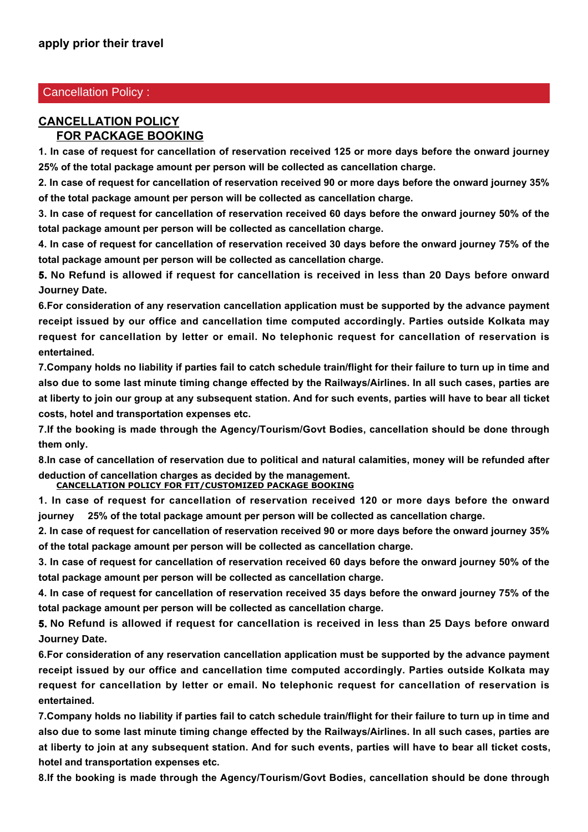## Cancellation Policy :

#### **CANCELLATION POLICY FOR PACKAGE BOOKING**

**1. In case of request for cancellation of reservation received 125 or more days before the onward journey 25% of the total package amount per person will be collected as cancellation charge.**

**2. In case of request for cancellation of reservation received 90 or more days before the onward journey 35% of the total package amount per person will be collected as cancellation charge.**

**3. In case of request for cancellation of reservation received 60 days before the onward journey 50% of the total package amount per person will be collected as cancellation charge.**

**4. In case of request for cancellation of reservation received 30 days before the onward journey 75% of the total package amount per person will be collected as cancellation charge.**

**5. No Refund is allowed if request for cancellation is received in less than 20 Days before onward Journey Date.**

**6.For consideration of any reservation cancellation application must be supported by the advance payment receipt issued by our office and cancellation time computed accordingly. Parties outside Kolkata may request for cancellation by letter or email. No telephonic request for cancellation of reservation is entertained.**

**7.Company holds no liability if parties fail to catch schedule train/flight for their failure to turn up in time and also due to some last minute timing change effected by the Railways/Airlines. In all such cases, parties are at liberty to join our group at any subsequent station. And for such events, parties will have to bear all ticket costs, hotel and transportation expenses etc.**

**7.If the booking is made through the Agency/Tourism/Govt Bodies, cancellation should be done through them only.**

**8.In case of cancellation of reservation due to political and natural calamities, money will be refunded after deduction of cancellation charges as decided by the management.**

**CANCELLATION POLICY FOR FIT/CUSTOMIZED PACKAGE BOOKING 1. In case of request for cancellation of reservation received 120 or more days before the onward**

**journey 25% of the total package amount per person will be collected as cancellation charge.**

**2. In case of request for cancellation of reservation received 90 or more days before the onward journey 35% of the total package amount per person will be collected as cancellation charge.**

**3. In case of request for cancellation of reservation received 60 days before the onward journey 50% of the total package amount per person will be collected as cancellation charge.**

**4. In case of request for cancellation of reservation received 35 days before the onward journey 75% of the total package amount per person will be collected as cancellation charge.**

**5. No Refund is allowed if request for cancellation is received in less than 25 Days before onward Journey Date.** 

**6.For consideration of any reservation cancellation application must be supported by the advance payment receipt issued by our office and cancellation time computed accordingly. Parties outside Kolkata may request for cancellation by letter or email. No telephonic request for cancellation of reservation is entertained.**

**7.Company holds no liability if parties fail to catch schedule train/flight for their failure to turn up in time and also due to some last minute timing change effected by the Railways/Airlines. In all such cases, parties are at liberty to join at any subsequent station. And for such events, parties will have to bear all ticket costs, hotel and transportation expenses etc.**

**8.If the booking is made through the Agency/Tourism/Govt Bodies, cancellation should be done through**